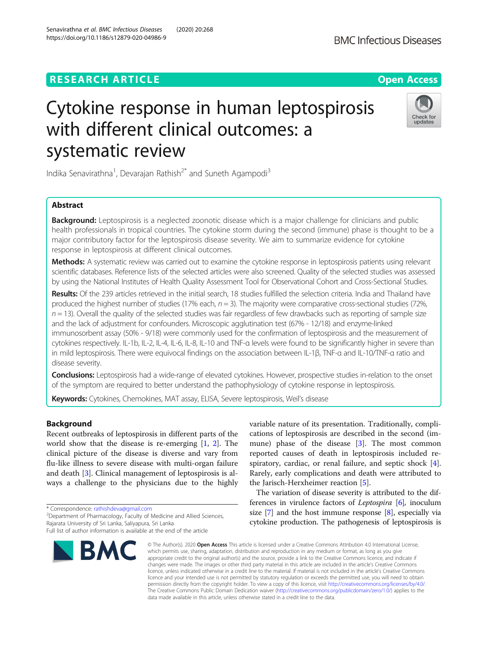# **RESEARCH ARTICLE Example 2014 12:30 The Contract of Contract ACCESS**

# Cytokine response in human leptospirosis with different clinical outcomes: a systematic review

Indika Senavirathna<sup>1</sup>, Devarajan Rathish<sup>2\*</sup> and Suneth Agampodi<sup>3</sup>

# Abstract

Background: Leptospirosis is a neglected zoonotic disease which is a major challenge for clinicians and public health professionals in tropical countries. The cytokine storm during the second (immune) phase is thought to be a major contributory factor for the leptospirosis disease severity. We aim to summarize evidence for cytokine response in leptospirosis at different clinical outcomes.

Methods: A systematic review was carried out to examine the cytokine response in leptospirosis patients using relevant scientific databases. Reference lists of the selected articles were also screened. Quality of the selected studies was assessed by using the National Institutes of Health Quality Assessment Tool for Observational Cohort and Cross-Sectional Studies.

Results: Of the 239 articles retrieved in the initial search, 18 studies fulfilled the selection criteria. India and Thailand have produced the highest number of studies (17% each,  $n = 3$ ). The majority were comparative cross-sectional studies (72%,  $n = 13$ ). Overall the quality of the selected studies was fair regardless of few drawbacks such as reporting of sample size and the lack of adjustment for confounders. Microscopic agglutination test (67% - 12/18) and enzyme-linked immunosorbent assay (50% - 9/18) were commonly used for the confirmation of leptospirosis and the measurement of cytokines respectively. IL-1b, IL-2, IL-4, IL-6, IL-8, IL-10 and TNF-α levels were found to be significantly higher in severe than in mild leptospirosis. There were equivocal findings on the association between IL-1β, TNF-α and IL-10/TNF-α ratio and disease severity.

Conclusions: Leptospirosis had a wide-range of elevated cytokines. However, prospective studies in-relation to the onset of the symptom are required to better understand the pathophysiology of cytokine response in leptospirosis.

Keywords: Cytokines, Chemokines, MAT assay, ELISA, Severe leptospirosis, Weil's disease

# Background

Recent outbreaks of leptospirosis in different parts of the world show that the disease is re-emerging [\[1](#page-6-0), [2\]](#page-6-0). The clinical picture of the disease is diverse and vary from flu-like illness to severe disease with multi-organ failure and death [\[3](#page-6-0)]. Clinical management of leptospirosis is always a challenge to the physicians due to the highly

\* Correspondence: [rathishdeva@gmail.com](mailto:rathishdeva@gmail.com) <sup>2</sup>

**BMC** 

<sup>2</sup>Department of Pharmacology, Faculty of Medicine and Allied Sciences, Rajarata University of Sri Lanka, Saliyapura, Sri Lanka

variable nature of its presentation. Traditionally, complications of leptospirosis are described in the second (immune) phase of the disease [\[3](#page-6-0)]. The most common reported causes of death in leptospirosis included re-spiratory, cardiac, or renal failure, and septic shock [\[4](#page-6-0)]. Rarely, early complications and death were attributed to the Jarisch-Herxheimer reaction [\[5](#page-6-0)].

The variation of disease severity is attributed to the differences in virulence factors of *Leptospira* [\[6\]](#page-6-0), inoculum size  $[7]$  and the host immune response  $[8]$  $[8]$ , especially via cytokine production. The pathogenesis of leptospirosis is

© The Author(s), 2020 **Open Access** This article is licensed under a Creative Commons Attribution 4.0 International License, which permits use, sharing, adaptation, distribution and reproduction in any medium or format, as long as you give appropriate credit to the original author(s) and the source, provide a link to the Creative Commons licence, and indicate if changes were made. The images or other third party material in this article are included in the article's Creative Commons licence, unless indicated otherwise in a credit line to the material. If material is not included in the article's Creative Commons licence and your intended use is not permitted by statutory regulation or exceeds the permitted use, you will need to obtain permission directly from the copyright holder. To view a copy of this licence, visit [http://creativecommons.org/licenses/by/4.0/.](http://creativecommons.org/licenses/by/4.0/) The Creative Commons Public Domain Dedication waiver [\(http://creativecommons.org/publicdomain/zero/1.0/](http://creativecommons.org/publicdomain/zero/1.0/)) applies to the data made available in this article, unless otherwise stated in a credit line to the data.

Senavirathna et al. BMC Infectious Diseases (2020) 20:268 https://doi.org/10.1186/s12879-020-04986-9





Full list of author information is available at the end of the article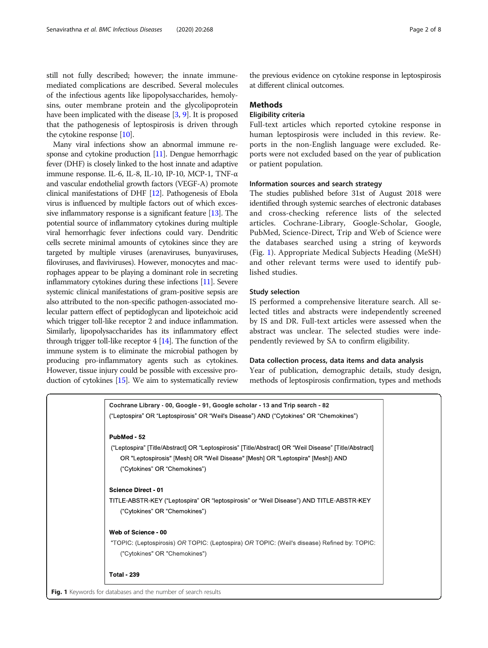still not fully described; however; the innate immunemediated complications are described. Several molecules of the infectious agents like lipopolysaccharides, hemolysins, outer membrane protein and the glycolipoprotein have been implicated with the disease [\[3](#page-6-0), [9\]](#page-7-0). It is proposed that the pathogenesis of leptospirosis is driven through the cytokine response [\[10\]](#page-7-0).

Many viral infections show an abnormal immune response and cytokine production [[11](#page-7-0)]. Dengue hemorrhagic fever (DHF) is closely linked to the host innate and adaptive immune response. IL-6, IL-8, IL-10, IP-10, MCP-1, TNF-α and vascular endothelial growth factors (VEGF-A) promote clinical manifestations of DHF [\[12\]](#page-7-0). Pathogenesis of Ebola virus is influenced by multiple factors out of which excessive inflammatory response is a significant feature [\[13\]](#page-7-0). The potential source of inflammatory cytokines during multiple viral hemorrhagic fever infections could vary. Dendritic cells secrete minimal amounts of cytokines since they are targeted by multiple viruses (arenaviruses, bunyaviruses, filoviruses, and flaviviruses). However, monocytes and macrophages appear to be playing a dominant role in secreting inflammatory cytokines during these infections [[11](#page-7-0)]. Severe systemic clinical manifestations of gram-positive sepsis are also attributed to the non-specific pathogen-associated molecular pattern effect of peptidoglycan and lipoteichoic acid which trigger toll-like receptor 2 and induce inflammation. Similarly, lipopolysaccharides has its inflammatory effect through trigger toll-like receptor 4 [\[14](#page-7-0)]. The function of the immune system is to eliminate the microbial pathogen by producing pro-inflammatory agents such as cytokines. However, tissue injury could be possible with excessive production of cytokines [[15](#page-7-0)]. We aim to systematically review

the previous evidence on cytokine response in leptospirosis at different clinical outcomes.

# **Methods**

# Eligibility criteria

Full-text articles which reported cytokine response in human leptospirosis were included in this review. Reports in the non-English language were excluded. Reports were not excluded based on the year of publication or patient population.

#### Information sources and search strategy

The studies published before 31st of August 2018 were identified through systemic searches of electronic databases and cross-checking reference lists of the selected articles. Cochrane-Library, Google-Scholar, Google, PubMed, Science-Direct, Trip and Web of Science were the databases searched using a string of keywords (Fig. 1). Appropriate Medical Subjects Heading (MeSH) and other relevant terms were used to identify published studies.

#### Study selection

IS performed a comprehensive literature search. All selected titles and abstracts were independently screened by IS and DR. Full-text articles were assessed when the abstract was unclear. The selected studies were independently reviewed by SA to confirm eligibility.

# Data collection process, data items and data analysis

Year of publication, demographic details, study design, methods of leptospirosis confirmation, types and methods

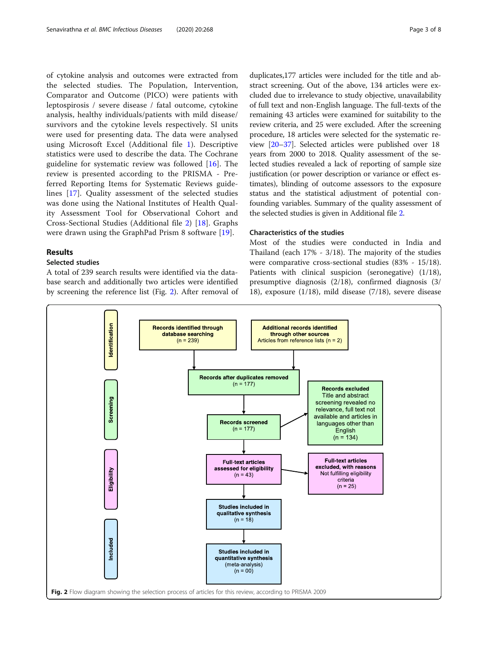the selected studies. The Population, Intervention, Comparator and Outcome (PICO) were patients with leptospirosis / severe disease / fatal outcome, cytokine analysis, healthy individuals/patients with mild disease/ survivors and the cytokine levels respectively. SI units were used for presenting data. The data were analysed using Microsoft Excel (Additional file [1](#page-6-0)). Descriptive statistics were used to describe the data. The Cochrane guideline for systematic review was followed [[16\]](#page-7-0). The review is presented according to the PRISMA - Preferred Reporting Items for Systematic Reviews guidelines [\[17](#page-7-0)]. Quality assessment of the selected studies was done using the National Institutes of Health Quality Assessment Tool for Observational Cohort and Cross-Sectional Studies (Additional file [2](#page-6-0)) [\[18](#page-7-0)]. Graphs were drawn using the GraphPad Prism 8 software [\[19](#page-7-0)].

## Results

# Selected studies

A total of 239 search results were identified via the database search and additionally two articles were identified by screening the reference list (Fig. 2). After removal of

duplicates,177 articles were included for the title and abstract screening. Out of the above, 134 articles were excluded due to irrelevance to study objective, unavailability of full text and non-English language. The full-texts of the remaining 43 articles were examined for suitability to the review criteria, and 25 were excluded. After the screening procedure, 18 articles were selected for the systematic review [[20](#page-7-0)–[37\]](#page-7-0). Selected articles were published over 18 years from 2000 to 2018. Quality assessment of the selected studies revealed a lack of reporting of sample size justification (or power description or variance or effect estimates), blinding of outcome assessors to the exposure status and the statistical adjustment of potential confounding variables. Summary of the quality assessment of the selected studies is given in Additional file [2.](#page-6-0)

# Characteristics of the studies

Most of the studies were conducted in India and Thailand (each 17% - 3/18). The majority of the studies were comparative cross-sectional studies (83% - 15/18). Patients with clinical suspicion (seronegative) (1/18), presumptive diagnosis (2/18), confirmed diagnosis (3/ 18), exposure (1/18), mild disease (7/18), severe disease

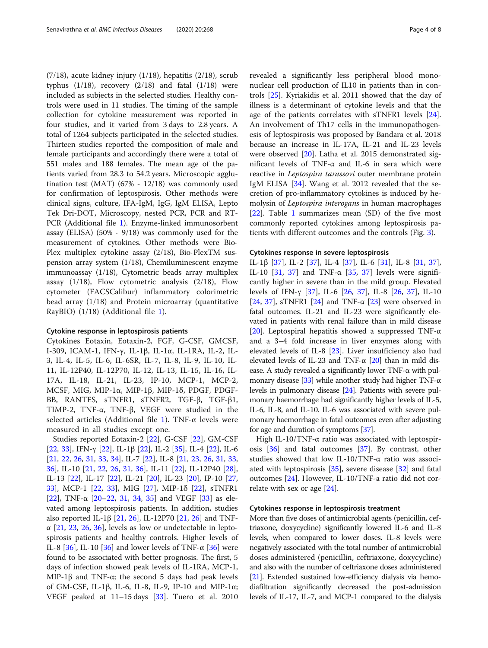(7/18), acute kidney injury (1/18), hepatitis (2/18), scrub typhus  $(1/18)$ , recovery  $(2/18)$  and fatal  $(1/18)$  were included as subjects in the selected studies. Healthy controls were used in 11 studies. The timing of the sample collection for cytokine measurement was reported in four studies, and it varied from 3 days to 2.8 years. A total of 1264 subjects participated in the selected studies. Thirteen studies reported the composition of male and female participants and accordingly there were a total of 551 males and 188 females. The mean age of the patients varied from 28.3 to 54.2 years. Microscopic agglutination test (MAT) (67% - 12/18) was commonly used for confirmation of leptospirosis. Other methods were clinical signs, culture, IFA-IgM, IgG, IgM ELISA, Lepto Tek Dri-DOT, Microscopy, nested PCR, PCR and RT-PCR (Additional file [1\)](#page-6-0). Enzyme-linked immunosorbent assay (ELISA) (50% - 9/18) was commonly used for the measurement of cytokines. Other methods were Bio-Plex multiplex cytokine assay (2/18), Bio-PlexTM suspension array system (1/18), Chemiluminescent enzyme immunoassay (1/18), Cytometric beads array multiplex assay (1/18), Flow cytometric analysis (2/18), Flow cytometer (FACSCalibur) inflammatory colorimetric bead array (1/18) and Protein microarray (quantitative RayBIO) (1/18) (Additional file [1](#page-6-0)).

#### Cytokine response in leptospirosis patients

Cytokines Eotaxin, Eotaxin-2, FGF, G-CSF, GMCSF, I-309, ICAM-1, IFN-γ, IL-1β, IL-1α, IL-1RA, IL-2, IL-3, IL-4, IL-5, IL-6, IL-6SR, IL-7, IL-8, IL-9, IL-10, IL-11, IL-12P40, IL-12P70, IL-12, IL-13, IL-15, IL-16, IL-17A, IL-18, IL-21, IL-23, IP-10, MCP-1, MCP-2, MCSF, MIG, MIP-1α, MIP-1β, MIP-1δ, PDGF, PDGF-BB, RANTES, sTNFR1, sTNFR2, TGF-β, TGF-β1, TIMP-2, TNF-α, TNF-β, VEGF were studied in the selected articles (Additional file [1](#page-6-0)). TNF-α levels were measured in all studies except one.

Studies reported Eotaxin-2 [\[22](#page-7-0)], G-CSF [\[22\]](#page-7-0), GM-CSF [[22,](#page-7-0) [33\]](#page-7-0), IFN-γ [[22\]](#page-7-0), IL-1β [\[22\]](#page-7-0), IL-2 [[35\]](#page-7-0), IL-4 [[22\]](#page-7-0), IL-6 [[21,](#page-7-0) [22,](#page-7-0) [26,](#page-7-0) [31,](#page-7-0) [33,](#page-7-0) [34\]](#page-7-0), IL-7 [[22\]](#page-7-0), IL-8 [\[21](#page-7-0), [23](#page-7-0), [26](#page-7-0), [31](#page-7-0), [33](#page-7-0), [36\]](#page-7-0), IL-10 [[21,](#page-7-0) [22](#page-7-0), [26,](#page-7-0) [31,](#page-7-0) [36](#page-7-0)], IL-11 [[22\]](#page-7-0), IL-12P40 [\[28](#page-7-0)], IL-13 [[22\]](#page-7-0), IL-17 [\[22\]](#page-7-0), IL-21 [\[20](#page-7-0)], IL-23 [\[20](#page-7-0)], IP-10 [[27](#page-7-0), [33\]](#page-7-0), MCP-1 [\[22,](#page-7-0) [33](#page-7-0)], MIG [[27\]](#page-7-0), MIP-1δ [[22\]](#page-7-0), sTNFR1 [[22\]](#page-7-0), TNF-α [\[20](#page-7-0)–[22,](#page-7-0) [31](#page-7-0), [34](#page-7-0), [35](#page-7-0)] and VEGF [\[33](#page-7-0)] as elevated among leptospirosis patients. In addition, studies also reported IL-1β [[21,](#page-7-0) [26\]](#page-7-0), IL-12P70 [21, 26] and TNF- $\alpha$  [[21](#page-7-0), [23,](#page-7-0) [26](#page-7-0), [36](#page-7-0)], levels as low or undetectable in leptospirosis patients and healthy controls. Higher levels of IL-8  $[36]$  $[36]$ , IL-10  $[36]$  $[36]$  and lower levels of TNF- $\alpha$   $[36]$  were found to be associated with better prognosis. The first, 5 days of infection showed peak levels of IL-1RA, MCP-1, MIP-1β and TNF- $\alpha$ ; the second 5 days had peak levels of GM-CSF, IL-1β, IL-6, IL-8, IL-9, IP-10 and MIP-1α; VEGF peaked at 11–15 days [[33\]](#page-7-0). Tuero et al. 2010

revealed a significantly less peripheral blood mononuclear cell production of IL10 in patients than in controls [\[25\]](#page-7-0). Kyriakidis et al. 2011 showed that the day of illness is a determinant of cytokine levels and that the age of the patients correlates with sTNFR1 levels [\[24](#page-7-0)]. An involvement of Th17 cells in the immunopathogenesis of leptospirosis was proposed by Bandara et al. 2018 because an increase in IL-17A, IL-21 and IL-23 levels were observed [[20\]](#page-7-0). Latha et al. 2015 demonstrated significant levels of TNF-α and IL-6 in sera which were reactive in Leptospira tarassovi outer membrane protein IgM ELISA [[34\]](#page-7-0). Wang et al. 2012 revealed that the secretion of pro-inflammatory cytokines is induced by hemolysin of Leptospira interogans in human macrophages [[22\]](#page-7-0). Table [1](#page-4-0) summarizes mean (SD) of the five most commonly reported cytokines among leptospirosis patients with different outcomes and the controls (Fig. [3](#page-5-0)).

#### Cytokines response in severe leptospirosis

IL-1β [\[37](#page-7-0)], IL-2 [[37](#page-7-0)], IL-4 [[37\]](#page-7-0), IL-6 [\[31](#page-7-0)], IL-8 [[31](#page-7-0), [37](#page-7-0)], IL-10 [[31,](#page-7-0) [37](#page-7-0)] and TNF- $\alpha$  [\[35,](#page-7-0) [37\]](#page-7-0) levels were significantly higher in severe than in the mild group. Elevated levels of IFN-γ [\[37](#page-7-0)], IL-6 [[26,](#page-7-0) [37\]](#page-7-0), IL-8 [[26](#page-7-0), [37\]](#page-7-0), IL-10 [[24,](#page-7-0) [37](#page-7-0)], sTNFR1 [\[24](#page-7-0)] and TNF- $\alpha$  [[23\]](#page-7-0) were observed in fatal outcomes. IL-21 and IL-23 were significantly elevated in patients with renal failure than in mild disease [[20\]](#page-7-0). Leptospiral hepatitis showed a suppressed TNF- $\alpha$ and a 3–4 fold increase in liver enzymes along with elevated levels of IL-8 [[23\]](#page-7-0). Liver insufficiency also had elevated levels of IL-23 and TNF- $\alpha$  [[20\]](#page-7-0) than in mild disease. A study revealed a significantly lower TNF-α with pul-monary disease [[33](#page-7-0)] while another study had higher TNF- $\alpha$ levels in pulmonary disease [\[24\]](#page-7-0). Patients with severe pulmonary haemorrhage had significantly higher levels of IL-5, IL-6, IL-8, and IL-10. IL-6 was associated with severe pulmonary haemorrhage in fatal outcomes even after adjusting for age and duration of symptoms [\[37\]](#page-7-0).

High IL-10/TNF-α ratio was associated with leptospirosis [[36\]](#page-7-0) and fatal outcomes [\[37](#page-7-0)]. By contrast, other studies showed that low IL-10/TNF-α ratio was associated with leptospirosis [\[35\]](#page-7-0), severe disease [\[32](#page-7-0)] and fatal outcomes [[24](#page-7-0)]. However, IL-10/TNF-a ratio did not correlate with sex or age [\[24](#page-7-0)].

# Cytokines response in leptospirosis treatment

More than five doses of antimicrobial agents (penicillin, ceftriaxone, doxycycline) significantly lowered IL-6 and IL-8 levels, when compared to lower doses. IL-8 levels were negatively associated with the total number of antimicrobial doses administered (penicillin, ceftriaxone, doxycycline) and also with the number of ceftriaxone doses administered [[21](#page-7-0)]. Extended sustained low-efficiency dialysis via hemodiafiltration significantly decreased the post-admission levels of IL-17, IL-7, and MCP-1 compared to the dialysis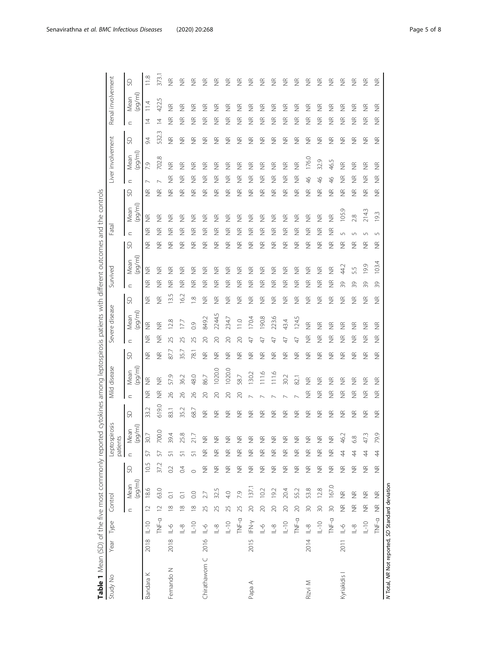<span id="page-4-0"></span>

| Study No                                        | Year Type |                                                              | Control            |                    |                    |                    | Leptospirosis<br>patients           |                    |                    | Mild disease       |                    |                    | Severe disease      |                    | Survived           |                     |                         | Fatal              |                    |                    | Liver involvement                        |                         |                         |                    | Renal involvement  |  |
|-------------------------------------------------|-----------|--------------------------------------------------------------|--------------------|--------------------|--------------------|--------------------|-------------------------------------|--------------------|--------------------|--------------------|--------------------|--------------------|---------------------|--------------------|--------------------|---------------------|-------------------------|--------------------|--------------------|--------------------|------------------------------------------|-------------------------|-------------------------|--------------------|--------------------|--|
|                                                 |           |                                                              | $\subset$          | (pq/ml)<br>Mean    | SD                 | $\subset$          | Mean<br>(pg/ml)                     | SD                 | $\subset$          | (pq/ml)<br>Mean    | SD                 | $\subset$          | $(\log(m))$<br>Mean | SD                 | $\subset$          | (pq/ml)<br>Mean     | S                       | $\subset$          | (pq/ml)<br>Mean    | SD                 | $(\log(m))$<br>Mean<br>$\subset$         | SD                      | $\subset$               | (pg/ml)<br>Mean    | SO                 |  |
| Bandara K                                       | 2018      | $0 - 1$                                                      | $\overline{12}$    | 186                | 10.5               | 57                 | 30.7                                | 33.2               | $\widetilde{\Xi}$  | $\widetilde{\Xi}$  | $\widetilde{\Xi}$  | 兰                  | $\widetilde{\Xi}$   | $\widetilde{\Xi}$  | 兰                  | $\widetilde{\Xi}$   | $\widetilde{\Xi}$       | 旨                  | $\widetilde{\Xi}$  | $\widetilde{\Xi}$  | 7.9                                      | $\ddot{\theta}$         | ₫                       | 11.4               | 11.8               |  |
|                                                 |           | TNF-a                                                        | $\overline{C}$     | 63.0               | 37.2               | 57                 | 700.0                               | 619.0              | $\frac{\alpha}{2}$ | $\widetilde{\Xi}$  | $\widetilde{\Xi}$  | $\frac{\alpha}{2}$ | $\frac{\alpha}{2}$  | $\frac{\alpha}{2}$ | $\widetilde{\Xi}$  | $\frac{\alpha}{2}$  | $\widetilde{\Xi}$       | $\frac{\alpha}{2}$ | $\frac{\alpha}{2}$ | $\frac{\alpha}{2}$ | œ<br>702.                                |                         | $\overline{4}$<br>532.3 | 422.5              | 373.               |  |
| Fernando N                                      | 2018      | $\frac{6}{1}$                                                | $\frac{8}{1}$      | 5                  | O.2                | 5                  | Ā.<br>39                            | 83.1               | 26                 | 57.9               | 87.7               | 25                 | 128                 | 3.5                | $\frac{\alpha}{2}$ | $\frac{\alpha}{2}$  | ΨŘ                      | 旨                  | $\frac{\alpha}{2}$ | $\frac{\alpha}{Z}$ | 旨<br>E                                   | $\widetilde{\Xi}$       | $\frac{1}{2}$           | $\frac{\alpha}{2}$ | $\widetilde{\Xi}$  |  |
|                                                 |           | $\frac{8}{1}$                                                | $\approx$          | ៊                  | 0.4                | 5                  | œ<br>25                             | 35.2               | $\approx$          | 36.2               | 35.7               | 25                 | 17                  | 62                 | $\frac{\alpha}{2}$ | $\frac{\alpha}{2}$  | $\frac{\alpha}{2}$      | 旨                  | $\frac{\alpha}{2}$ | $\frac{\alpha}{2}$ | $\frac{\alpha}{2}$<br>$\frac{\alpha}{2}$ | $\frac{\alpha}{2}$      | $\frac{\alpha}{2}$      | $\frac{\alpha}{2}$ | $\frac{\alpha}{2}$ |  |
|                                                 |           | $0 - 1$                                                      | $\frac{8}{10}$     | 0.0                | $\circ$            | 5                  | $\sum_{i=1}^{n}$<br>$\overline{2}1$ | 68.7               | $\%$               | 48.0               | 78.1               | 25                 | $\overline{0}$      | œ                  | 旨                  | $\frac{R}{Z}$       | $\frac{R}{Z}$           | 旨                  | $\frac{\alpha}{2}$ | $\frac{\alpha}{2}$ | 旨<br>$\frac{\alpha}{\beta}$              | $\frac{\alpha}{\alpha}$ | $\frac{\alpha}{2}$      | $\frac{\alpha}{2}$ | $\frac{\alpha}{2}$ |  |
| Chirathaworn C                                  | 2016      | $\phi$ –1                                                    | 25                 |                    | $\widetilde{\Xi}$  | $\frac{\alpha}{2}$ |                                     | $\frac{\alpha}{2}$ | 20                 | 86.7               | $\widetilde{\Xi}$  | 20                 | 849.2               | $\frac{\alpha}{2}$ | $\frac{\alpha}{2}$ | $\frac{\alpha}{2}$  | $\frac{\alpha}{2}$      | 旨                  | $\frac{\alpha}{2}$ | $\frac{\alpha}{2}$ | $\frac{\alpha}{2}$<br>$\frac{\alpha}{2}$ | $\frac{\alpha}{2}$      | $\frac{\alpha}{2}$      | $\frac{\alpha}{2}$ | $\widetilde{\Xi}$  |  |
|                                                 |           | $\stackrel{\textstyle\circ}{=}\stackrel{\textstyle\circ}{=}$ | 25                 | 325                | $\frac{\alpha}{2}$ | $\widetilde{\Xi}$  |                                     | $\frac{\alpha}{2}$ | $\approx$          | 1020.0             | $\frac{\alpha}{2}$ | 20                 | 2244.5              | ⋚                  | 旨                  | $\frac{\alpha}{2}$  | $\frac{\alpha}{2}$      | 旨                  | $\frac{\alpha}{2}$ | $\frac{\alpha}{2}$ | 旨<br>$\frac{\alpha}{2}$                  | $\frac{\alpha}{2}$      | $\frac{\alpha}{2}$      | $\frac{\alpha}{2}$ | $\widetilde{\Xi}$  |  |
|                                                 |           | $U-10$                                                       | 25                 | 4.0                | $\widetilde{\Xi}$  | $\frac{\alpha}{2}$ |                                     | $\frac{\alpha}{2}$ | $\infty$           | 1020.0             | $\frac{1}{2}$      | 20                 | 234.7               | Ξ                  | E                  | $\frac{\alpha}{2}$  | $\frac{\alpha}{\alpha}$ | 旨                  | $\frac{\alpha}{2}$ | $\frac{\alpha}{2}$ | $\frac{\alpha}{2}$<br>$\frac{\alpha}{2}$ | $\widetilde{\Xi}$       | $\frac{\alpha}{2}$      | $\frac{\alpha}{2}$ | $\widetilde{\Xi}$  |  |
|                                                 |           | $TNF-a$                                                      | 25                 | 7.9                | $\widetilde{\Xi}$  | $\widetilde{\Xi}$  |                                     | $\frac{\alpha}{2}$ | 20                 | 58.7               | $\frac{\alpha}{2}$ | 20                 | 11.0                | ⋚                  | 旨                  | $\frac{\alpha}{2}$  | $\frac{\alpha}{2}$      | 旨                  | $\frac{\alpha}{2}$ | $\frac{\alpha}{2}$ | 旨<br>$\frac{\alpha}{2}$                  | $\widetilde{\Xi}$       | $\frac{\alpha}{2}$      | ⋚                  | $\widetilde{\Xi}$  |  |
| Papa A                                          | 2015      | IFN-Y                                                        | $\overline{20}$    | 137.1              | $\frac{\alpha}{2}$ | $\frac{\alpha}{2}$ |                                     | $\widetilde{\Xi}$  |                    | 30.2               | $\frac{\alpha}{2}$ | A                  | 170.4               | 旨                  | 旨                  | $\frac{\alpha}{2}$  | $\frac{\alpha}{2}$      | 旨                  | $\frac{\alpha}{2}$ | $\frac{\alpha}{2}$ | 旨<br>$\frac{\alpha}{\beta}$              | $\widetilde{\Xi}$       | $\frac{\alpha}{2}$      | $\frac{\alpha}{2}$ | $\widetilde{\Xi}$  |  |
|                                                 |           | $\frac{6}{1}$                                                | $\infty$           | 102                | $\widetilde{\Xi}$  | $\widetilde{\Xi}$  |                                     | $\widetilde{\Xi}$  |                    | 11.6               | $\widetilde{\Xi}$  | A                  | 190.8               | JR                 | E                  | $\frac{\alpha}{2}$  | $\widetilde{\Xi}$       | 兰                  | ⋚                  | $\frac{\alpha}{2}$ | 兰<br>$\widetilde{\Xi}$                   | $\widetilde{\Xi}$       | $\frac{\alpha}{2}$      | $\frac{\alpha}{2}$ | $\widetilde{\Xi}$  |  |
|                                                 |           | $\overline{\mathbb{L}}$ -8                                   | $\infty$           | 192                | $\widetilde{\Xi}$  | $\frac{\alpha}{2}$ |                                     | $\frac{\alpha}{2}$ |                    | 111.6              | $\frac{\alpha}{2}$ | A                  | 223.6               | E                  | 旨                  | $\frac{\alpha}{2}$  | $\frac{\alpha}{2}$      | 兰                  | $\widetilde{\Xi}$  | $\frac{\alpha}{2}$ | $\frac{\alpha}{2}$<br>$\frac{\alpha}{2}$ | $\frac{\alpha}{2}$      | $\frac{\alpha}{2}$      | 旨                  | $\widetilde{\Xi}$  |  |
|                                                 |           | $\overline{\mathsf{L}}$ -10                                  | $\infty$           | 20.4               | $\widetilde{\Xi}$  | $\widetilde{\Xi}$  |                                     | $\widetilde{\Xi}$  |                    | 30.2               | $\frac{\alpha}{2}$ | A                  | 43.4                | $\frac{R}{Z}$      | 旨                  | $\frac{\alpha}{2}$  | $\frac{\alpha}{2}$      | $\frac{\alpha}{2}$ | $\widetilde{\Xi}$  | $\frac{\alpha}{2}$ | $\frac{\alpha}{2}$<br>$\widetilde{\Xi}$  | $\frac{\alpha}{2}$      | $\frac{\alpha}{2}$      | $\frac{\alpha}{2}$ | $\widetilde{\Xi}$  |  |
|                                                 |           | TNF-a                                                        | $\gtrsim$          | 55.2               | $\frac{\alpha}{2}$ | $\frac{\alpha}{2}$ |                                     | $\frac{\alpha}{2}$ |                    | 82.1               | $\widetilde{\Xi}$  | $\overline{4}$     | 124.5               | Ξ                  | 兰                  | $\frac{\alpha}{2}$  | $\widetilde{\Xi}$       | $\frac{\alpha}{2}$ | ⋚                  | $\frac{\alpha}{2}$ | $\widetilde{\Xi}$<br>$\widetilde{\Xi}$   | $\widetilde{\Xi}$       | $\frac{\alpha}{2}$      | ⋚                  | $\widetilde{\Xi}$  |  |
| Rizvi M                                         | 2014      | $\frac{8}{1}$                                                | $\approx$          | 53.8               | $\widetilde{\Xi}$  | $\widetilde{\Xi}$  |                                     | $\frac{\alpha}{2}$ | $\widetilde{\Xi}$  | E                  | $\frac{R}{Z}$      | 旨                  | $\widetilde{\Xi}$   | $\frac{\alpha}{2}$ | 旨                  | 兰                   | $\frac{1}{2}$           | $\frac{\infty}{2}$ | $\frac{\infty}{2}$ | $\frac{\alpha}{2}$ | 176.0<br>$\frac{4}{5}$                   | $\frac{R}{Z}$           | $\frac{\alpha}{2}$      | $\widetilde{\Xi}$  | $\widetilde{\Xi}$  |  |
|                                                 |           | $\frac{1}{2}$                                                | 30                 | 12.8               | $\frac{\alpha}{2}$ | $\frac{\alpha}{2}$ |                                     | $\widetilde{\Xi}$  | 兰                  | 兰                  | $\frac{\alpha}{2}$ | 旨                  | $\widetilde{\Xi}$   | $\frac{R}{Z}$      | $\frac{\alpha}{2}$ | $\widetilde{\Xi}$   | $\frac{\alpha}{2}$      | $\frac{\alpha}{2}$ | ⋚                  | $\frac{\alpha}{2}$ | 32.9<br>$\frac{1}{2}$                    | $\frac{\alpha}{2}$      | $\frac{\alpha}{2}$      | ⋚                  | $\widetilde{\Xi}$  |  |
|                                                 |           | TNF-a                                                        | $\overline{30}$    | 167.0              | $\frac{\alpha}{2}$ | $\widetilde{\Xi}$  |                                     | ΨŘ                 | 旨                  | 旨                  | $\frac{1}{2}$      | 旨                  | 旨                   | $\frac{\alpha}{2}$ | E                  | $\widetilde{\Xi}$   | $\frac{\alpha}{2}$      | $\frac{\alpha}{2}$ | $\frac{\alpha}{2}$ | $\frac{\alpha}{2}$ | 46.5<br>$\frac{4}{5}$                    | $\frac{1}{2}$           | $\frac{\alpha}{\alpha}$ | $\frac{\alpha}{2}$ | $\widetilde{\Xi}$  |  |
| Kyriakidis I                                    | 2011      | $\frac{6}{11}$                                               | $\frac{\alpha}{2}$ | $\frac{\alpha}{Z}$ | $\widetilde{\Xi}$  | 4                  | Ñ<br>$\frac{6}{4}$                  | $\frac{\alpha}{2}$ | 兰                  | $\widetilde{\Xi}$  | $\frac{R}{Z}$      | 旨                  | $\frac{\alpha}{2}$  | $\frac{\alpha}{2}$ | 39                 | 44.2                | $\frac{\alpha}{2}$      | 5                  | 105.9              | $\frac{\alpha}{2}$ | $\widetilde{\Xi}$<br>$\frac{\alpha}{2}$  | $\frac{\alpha}{2}$      | $\frac{\alpha}{2}$      | $\widetilde{\Xi}$  | $\widetilde{\Xi}$  |  |
|                                                 |           | $\overline{\mathbb{L}}$ -8                                   | $\frac{\alpha}{2}$ | $\frac{\alpha}{2}$ | $\widetilde{\Xi}$  | 4                  | 6.8                                 | $\frac{R}{Z}$      | 旨                  | 旨                  | $\frac{\alpha}{2}$ | 旨                  | 旨                   | $\frac{\alpha}{2}$ | 39                 | 55                  | $\frac{\alpha}{2}$      |                    | 2.8                | $\frac{\alpha}{2}$ | 旨<br>$\frac{\alpha}{2}$                  | $\frac{\alpha}{2}$      | $\frac{\alpha}{2}$      | $\frac{\alpha}{2}$ | $\frac{\alpha}{2}$ |  |
|                                                 |           | $0 - 1$                                                      | $\widetilde{\Xi}$  | $\widetilde{\Xi}$  | $\widetilde{\Xi}$  | $\overline{4}$     | w<br>47                             | $\widetilde{\Xi}$  | $\widetilde{\Xi}$  | $\frac{\alpha}{2}$ | $\frac{\alpha}{2}$ | $\widetilde{\Xi}$  | $\frac{\alpha}{2}$  | $\frac{\alpha}{2}$ | 39                 | 199                 | $\frac{\alpha}{2}$      | Ln                 | 214.3              | $\frac{\alpha}{2}$ | $\widetilde{\Xi}$<br>$\frac{\alpha}{2}$  | $\frac{\alpha}{2}$      | $\widetilde{\Xi}$       | ⋚                  | $\widetilde{\Xi}$  |  |
|                                                 |           | TNF-a                                                        | $\widetilde{\Xi}$  | $\frac{\alpha}{2}$ | $\widetilde{\Xi}$  | \$                 | O,<br>20                            | $\frac{\alpha}{2}$ | $\widetilde{\Xi}$  | $\widetilde{\Xi}$  | $\frac{\alpha}{2}$ | $\widetilde{\Xi}$  | $\frac{\alpha}{2}$  | $\frac{\alpha}{2}$ | 39                 | 4<br>$\overline{0}$ | $\frac{\alpha}{2}$      | 5                  | 193                | $\frac{\alpha}{2}$ | $\widetilde{\Xi}$<br>$\frac{\alpha}{2}$  | $\frac{\alpha}{2}$      | $\frac{\alpha}{2}$      | $\frac{\alpha}{2}$ | $\frac{\alpha}{2}$ |  |
| N Total, NR Not reported, SD Standard deviation |           |                                                              |                    |                    |                    |                    |                                     |                    |                    |                    |                    |                    |                     |                    |                    |                     |                         |                    |                    |                    |                                          |                         |                         |                    |                    |  |

Table 1 Mean (SD) of the five most commonly reported cytokines among leptospirosis patients with different outcomes and the controls Table 1 Mean (SD) of the five most commonly reported cytokines among leptospirosis patients with different outcomes and the controls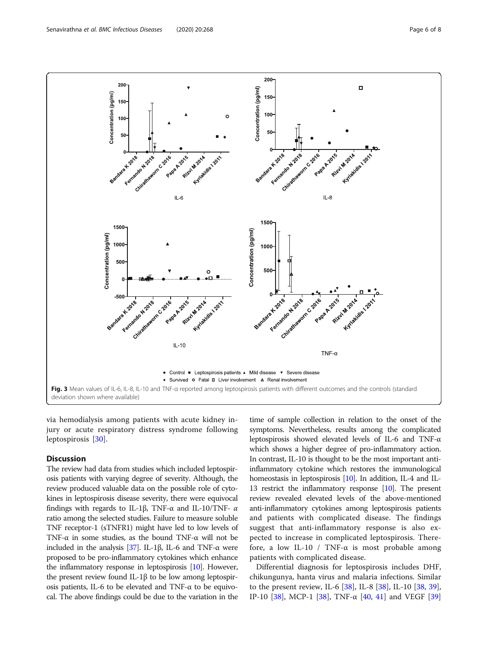<span id="page-5-0"></span>

via hemodialysis among patients with acute kidney injury or acute respiratory distress syndrome following leptospirosis [[30\]](#page-7-0).

# Discussion

The review had data from studies which included leptospirosis patients with varying degree of severity. Although, the review produced valuable data on the possible role of cytokines in leptospirosis disease severity, there were equivocal findings with regards to IL-1β, TNF-α and IL-10/TNF- α ratio among the selected studies. Failure to measure soluble TNF receptor-1 (sTNFR1) might have led to low levels of TNF- $\alpha$  in some studies, as the bound TNF- $\alpha$  will not be included in the analysis [[37\]](#page-7-0). IL-1β, IL-6 and TNF- $\alpha$  were proposed to be pro-inflammatory cytokines which enhance the inflammatory response in leptospirosis [\[10](#page-7-0)]. However, the present review found IL-1β to be low among leptospirosis patients, IL-6 to be elevated and TNF- $\alpha$  to be equivocal. The above findings could be due to the variation in the

time of sample collection in relation to the onset of the symptoms. Nevertheless, results among the complicated leptospirosis showed elevated levels of IL-6 and TNF-α which shows a higher degree of pro-inflammatory action. In contrast, IL-10 is thought to be the most important antiinflammatory cytokine which restores the immunological homeostasis in leptospirosis [[10](#page-7-0)]. In addition, IL-4 and IL-13 restrict the inflammatory response [\[10\]](#page-7-0). The present review revealed elevated levels of the above-mentioned anti-inflammatory cytokines among leptospirosis patients and patients with complicated disease. The findings suggest that anti-inflammatory response is also expected to increase in complicated leptospirosis. Therefore, a low IL-10 / TNF- $\alpha$  is most probable among patients with complicated disease.

Differential diagnosis for leptospirosis includes DHF, chikungunya, hanta virus and malaria infections. Similar to the present review, IL-6  $[38]$ , IL-8  $[38]$  $[38]$ , IL-10  $[38, 39]$  $[38, 39]$  $[38, 39]$  $[38, 39]$ , IP-10 [[38\]](#page-7-0), MCP-1 [\[38](#page-7-0)], TNF-α [\[40,](#page-7-0) [41\]](#page-7-0) and VEGF [[39](#page-7-0)]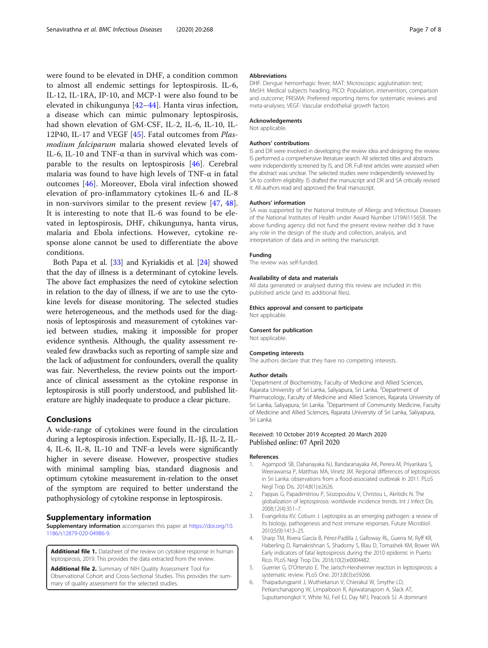<span id="page-6-0"></span>were found to be elevated in DHF, a condition common to almost all endemic settings for leptospirosis. IL-6, IL-12, IL-1RA, IP-10, and MCP-1 were also found to be elevated in chikungunya [[42](#page-7-0)–[44\]](#page-7-0). Hanta virus infection, a disease which can mimic pulmonary leptospirosis, had shown elevation of GM-CSF, IL-2, IL-6, IL-10, IL-12P40, IL-17 and VEGF [\[45](#page-7-0)]. Fatal outcomes from Plasmodium falciparum malaria showed elevated levels of IL-6, IL-10 and TNF-α than in survival which was comparable to the results on leptospirosis [\[46](#page-7-0)]. Cerebral malaria was found to have high levels of TNF-α in fatal outcomes [[46\]](#page-7-0). Moreover, Ebola viral infection showed elevation of pro-inflammatory cytokines IL-6 and IL-8 in non-survivors similar to the present review [\[47](#page-7-0), [48](#page-7-0)]. It is interesting to note that IL-6 was found to be elevated in leptospirosis, DHF, chikungunya, hanta virus, malaria and Ebola infections. However, cytokine response alone cannot be used to differentiate the above conditions.

Both Papa et al. [[33](#page-7-0)] and Kyriakidis et al. [[24](#page-7-0)] showed that the day of illness is a determinant of cytokine levels. The above fact emphasizes the need of cytokine selection in relation to the day of illness, if we are to use the cytokine levels for disease monitoring. The selected studies were heterogeneous, and the methods used for the diagnosis of leptospirosis and measurement of cytokines varied between studies, making it impossible for proper evidence synthesis. Although, the quality assessment revealed few drawbacks such as reporting of sample size and the lack of adjustment for confounders, overall the quality was fair. Nevertheless, the review points out the importance of clinical assessment as the cytokine response in leptospirosis is still poorly understood, and published literature are highly inadequate to produce a clear picture.

# Conclusions

A wide-range of cytokines were found in the circulation during a leptospirosis infection. Especially, IL-1β, IL-2, IL-4, IL-6, IL-8, IL-10 and TNF-α levels were significantly higher in severe disease. However, prospective studies with minimal sampling bias, standard diagnosis and optimum cytokine measurement in-relation to the onset of the symptom are required to better understand the pathophysiology of cytokine response in leptospirosis.

#### Supplementary information

Supplementary information accompanies this paper at [https://doi.org/10.](https://doi.org/10.1186/s12879-020-04986-9) [1186/s12879-020-04986-9](https://doi.org/10.1186/s12879-020-04986-9).

Additional file 1. Datasheet of the review on cytokine response in human leptospirosis, 2019. This provides the data extracted from the review.

Additional file 2. Summary of NIH Quality Assessment Tool for Observational Cohort and Cross-Sectional Studies. This provides the summary of quality assessment for the selected studies.

#### Abbreviations

DHF: Dengue hemorrhagic fever; MAT: Microscopic agglutination test; MeSH: Medical subjects heading; PICO: Population, intervention, comparison and outcome; PRISMA: Preferred reporting items for systematic reviews and meta-analyses; VEGF: Vascular endothelial growth factors

## Acknowledgements

Not applicable.

#### Authors' contributions

IS and DR were involved in developing the review idea and designing the review. IS performed a comprehensive literature search. All selected titles and abstracts were independently screened by IS, and DR. Full-text articles were assessed when the abstract was unclear. The selected studies were independently reviewed by SA to confirm eligibility. IS drafted the manuscript and DR and SA critically revised it. All authors read and approved the final manuscript.

#### Authors' information

SA was supported by the National Institute of Allergy and Infectious Diseases of the National Institutes of Health under Award Number U19AI115658. The above funding agency did not fund the present review neither did it have any role in the design of the study and collection, analysis, and interpretation of data and in writing the manuscript.

#### Funding

The review was self-funded.

#### Availability of data and materials

All data generated or analysed during this review are included in this published article (and its additional files).

#### Ethics approval and consent to participate

Not applicable.

#### Consent for publication

Not applicable.

#### Competing interests

The authors declare that they have no competing interests.

#### Author details

<sup>1</sup>Department of Biochemistry, Faculty of Medicine and Allied Sciences, Rajarata University of Sri Lanka, Saliyapura, Sri Lanka. <sup>2</sup>Department of Pharmacology, Faculty of Medicine and Allied Sciences, Rajarata University of Sri Lanka, Saliyapura, Sri Lanka. <sup>3</sup>Department of Community Medicine, Faculty of Medicine and Allied Sciences, Rajarata University of Sri Lanka, Saliyapura, Sri Lanka.

#### Received: 10 October 2019 Accepted: 20 March 2020 Published online: 07 April 2020

#### References

- 1. Agampodi SB, Dahanayaka NJ, Bandaranayaka AK, Perera M, Priyankara S, Weerawansa P, Matthias MA, Vinetz JM. Regional differences of leptospirosis in Sri Lanka: observations from a flood-associated outbreak in 2011. PLoS Negl Trop Dis. 2014;8(1):e2626.
- 2. Pappas G, Papadimitriou P, Siozopoulou V, Christou L, Akritidis N. The globalization of leptospirosis: worldwide incidence trends. Int J Infect Dis. 2008;12(4):351–7.
- 3. Evangelista KV, Coburn J. Leptospira as an emerging pathogen: a review of its biology, pathogenesis and host immune responses. Future Microbiol. 2010;5(9):1413–25.
- 4. Sharp TM, Rivera García B, Pérez-Padilla J, Galloway RL, Guerra M, Ryff KR, Haberling D, Ramakrishnan S, Shadomy S, Blau D, Tomashek KM, Bower WA. Early indicators of fatal leptospirosis during the 2010 epidemic in Puerto Rico. PLoS Negl Trop Dis. 2016;10(2):e0004482.
- 5. Guerrier G, D'Ortenzio E. The Jarisch-Herxheimer reaction in leptospirosis: a systematic review. PLoS One. 2013;8(3):e59266.
- 6. Thaipadungpanit J, Wuthiekanun V, Chierakul W, Smythe LD, Petkanchanapong W, Limpaiboon R, Apiwatanaporn A, Slack AT, Suputtamongkol Y, White NJ, Feil EJ, Day NPJ, Peacock SJ. A dominant